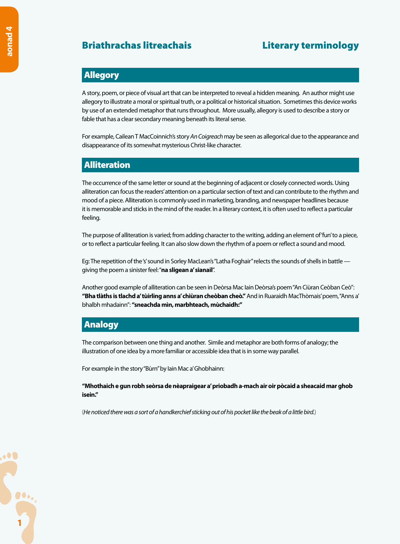# Briathrachas litreachais **Executes** Literary terminology

## Allegory

A story, poem, or piece of visual art that can be interpreted to reveal a hidden meaning. An author might use allegory to illustrate a moral or spiritual truth, or a political or historical situation. Sometimes this device works by use of an extended metaphor that runs throughout. More usually, allegory is used to describe a story or fable that has a clear secondary meaning beneath its literal sense.

For example, Cailean T MacCoinnich's story *An Coigreach* may be seen as allegorical due to the appearance and disappearance of its somewhat mysterious Christ-like character.

# Alliteration

The occurrence of the same letter or sound at the beginning of adjacent or closely connected words. Using alliteration can focus the readers' attention on a particular section of text and can contribute to the rhythm and mood of a piece. Alliteration is commonly used in marketing, branding, and newspaper headlines because it is memorable and sticks in the mind of the reader. In a literary context, it is often used to reflect a particular feeling.

The purpose of alliteration is varied; from adding character to the writing, adding an element of 'fun' to a piece, or to reflect a particular feeling. It can also slow down the rhythm of a poem or reflect a sound and mood.

Eg: The repetition of the 's' sound in Sorley MacLean's "Latha Foghair" relects the sounds of shells in battle giving the poem a sinister feel: "**na sligean a' sianail**".

Another good example of alliteration can be seen in Deòrsa Mac Iain Deòrsa's poem "An Ciùran Ceòban Ceò": **"Bha tlàths is tlachd a' tùirling anns a' chiùran cheòban cheò."** And in Ruaraidh MacThòmais' poem, "Anns a' bhalbh mhadainn": **"sneachda mìn, marbhteach, mùchaidh:"**

# Analogy

The comparison between one thing and another. Simile and metaphor are both forms of analogy; the illustration of one idea by a more familiar or accessible idea that is in some way parallel.

For example in the story "Bùrn" by Iain Mac a' Ghobhainn:

**"Mhothaich e gun robh seòrsa de nèapraigear a' priobadh a-mach air oir pòcaid a sheacaid mar ghob isein."** 

(*He noticed there was a sort of a handkerchief sticking out of his pocket like the beak of a little bird.*)

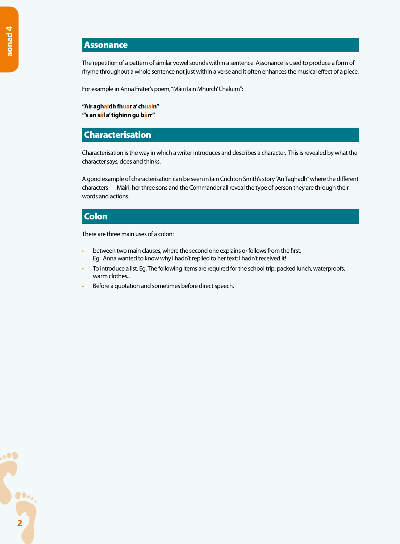#### Assonance

The repetition of a pattern of similar vowel sounds within a sentence. Assonance is used to produce a form of rhyme throughout a whole sentence not just within a verse and it often enhances the musical effect of a piece.

For example in Anna Frater's poem, "Màiri Iain Mhurch' Chaluim":

**"Air aghaidh fhuar a' chuain" "'s an sàl a' tighinn gu bàrr"**

#### Characterisation

Characterisation is the way in which a writer introduces and describes a character. This is revealed by what the character says, does and thinks.

A good example of characterisation can be seen in Iain Crichton Smith's story "An Taghadh" where the different characters — Màiri, her three sons and the Commander all reveal the type of person they are through their words and actions.

#### Colon

There are three main uses of a colon:

- between two main clauses, where the second one explains or follows from the first. Eg: Anna wanted to know why I hadn't replied to her text: I hadn't received it!
- To introduce a list. Eg. The following items are required for the school trip: packed lunch, waterproofs, warm clothes...
- Before a quotation and sometimes before direct speech.

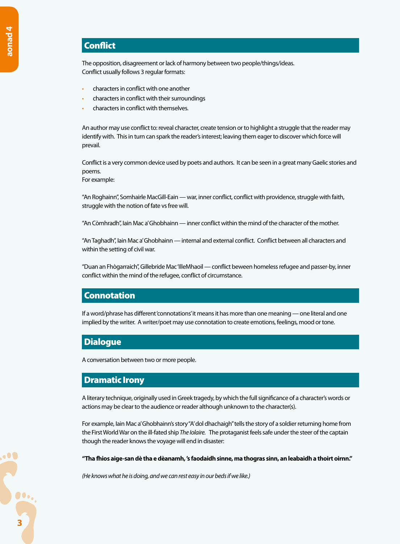# **Conflict**

The opposition, disagreement or lack of harmony between two people/things/ideas. Conflict usually follows 3 regular formats:

- characters in conflict with one another
- characters in conflict with their surroundings
- characters in conflict with themselves.

An author may use conflict to: reveal character, create tension or to highlight a struggle that the reader may identify with. This in turn can spark the reader's interest; leaving them eager to discover which force will prevail.

Conflict is a very common device used by poets and authors. It can be seen in a great many Gaelic stories and poems.

For example:

"An Roghainn", Somhairle MacGill-Eain — war, inner conflict, conflict with providence, struggle with faith, struggle with the notion of fate vs free will.

"An Còmhradh", Iain Mac a' Ghobhainn — inner conflict within the mind of the character of the mother.

"An Taghadh", Iain Mac a' Ghobhainn — internal and external conflict. Conflict between all characters and within the setting of civil war.

"Duan an Fhògarraich", Gillebride Mac 'IlleMhaoil — conflict beween homeless refugee and passer-by, inner conflict within the mind of the refugee, conflict of circumstance.

## **Connotation**

If a word/phrase has different 'connotations' it means it has more than one meaning — one literal and one implied by the writer. A writer/poet may use connotation to create emotions, feelings, mood or tone.

## Dialogue

A conversation between two or more people.

#### Dramatic Irony

A literary technique, originally used in Greek tragedy, by which the full significance of a character's words or actions may be clear to the audience or reader although unknown to the character(s).

For example, Iain Mac a' Ghobhainn's story "A' dol dhachaigh" tells the story of a soldier returning home from the First World War on the ill-fated ship *The Iolaire.* The protaganist feels safe under the steer of the captain though the reader knows the voyage will end in disaster:

**"Tha fhios aige-san dè tha e dèanamh, 's faodaidh sinne, ma thogras sinn, an leabaidh a thoirt oirnn."**

*(He knows what he is doing, and we can rest easy in our beds if we like.)*

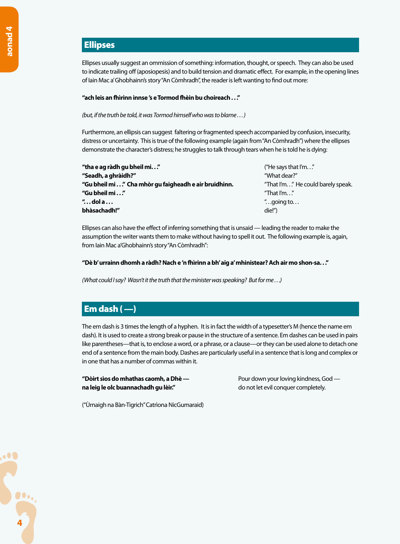# Ellipses

Ellipses usually suggest an ommission of something: information, thought, or speech. They can also be used to indicate trailing off (aposiopesis) and to build tension and dramatic effect. For example, in the opening lines of Iain Mac a' Ghobhainn's story "An Còmhradh", the reader is left wanting to find out more:

#### **"ach leis an fhìrinn innse 's e Tormod fhèin bu choireach . . ."**

*(but, if the truth be told, it was Tormod himself who was to blame . . . )*

Furthermore, an ellipsis can suggest faltering or fragmented speech accompanied by confusion, insecurity, distress or uncertainty. This is true of the following example (again from "An Còmhradh") where the ellipses demonstrate the character's distress; he struggles to talk through tears when he is told he is dying:

| "tha e ag ràdh gu bheil mi."                         | ("He says that $\mathsf{I}'\mathsf{m}$ " |
|------------------------------------------------------|------------------------------------------|
| "Seadh, a ghràidh?"                                  | "What dear?"                             |
| "Gu bheil mi" Cha mhòr gu faigheadh e air bruidhinn. | "That I'm" He could barely speak.        |
| "Gu bheil mi"                                        | "That I'm"                               |
| " $\ldots$ dol a $\ldots$                            | " going to"                              |
| bhàsachadh!"                                         | die!")                                   |
|                                                      |                                          |

Ellipses can also have the effect of inferring something that is unsaid — leading the reader to make the assumption the writer wants them to make without having to spell it out. The following example is, again, from Iain Mac a'Ghobhainn's story "An Còmhradh":

#### **"Dè b' urrainn dhomh a ràdh? Nach e 'n fhìrinn a bh' aig a' mhinistear? Ach air mo shon-sa. . ."**

*(What could I say? Wasn't it the truth that the minister was speaking? But for me . . .)*

# Em dash ( —)

The em dash is 3 times the length of a hyphen. It is in fact the width of a typesetter's M (hence the name em dash). It is used to create a strong break or pause in the structure of a sentence. Em dashes can be used in pairs like parentheses—that is, to enclose a word, or a phrase, or a clause—or they can be used alone to detach one end of a sentence from the main body. Dashes are particularly useful in a sentence that is long and complex or in one that has a number of commas within it.

**"Dòirt sìos do mhathas caomh, a Dhè —** Pour down your loving kindness, God **na leig le olc buannachadh gu lèir." de letter de le conquer completely. de les proportions** de letter de letter de letter de letter de letter de letter de letter de letter de letter de letter de letter de letter de l

("Ùrnaigh na Bàn-Tigrich" Catrìona NicGumaraid)

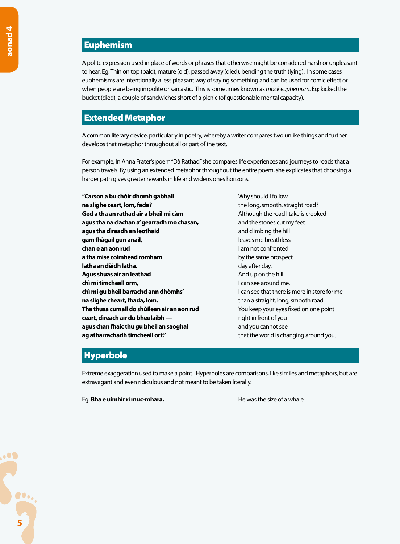# Euphemism

A polite expression used in place of words or phrases that otherwise might be considered harsh or unpleasant to hear. Eg: Thin on top (bald), mature (old), passed away (died), bending the truth (lying). In some cases euphemisms are intentionally a less pleasant way of saying something and can be used for comic effect or when people are being impolite or sarcastic. This is sometimes known as *mock euphemism*. Eg: kicked the bucket (died), a couple of sandwiches short of a picnic (of questionable mental capacity).

## Extended Metaphor

A common literary device, particularly in poetry, whereby a writer compares two unlike things and further develops that metaphor throughout all or part of the text.

For example, In Anna Frater's poem "Dà Rathad" she compares life experiences and journeys to roads that a person travels. By using an extended metaphor throughout the entire poem, she explicates that choosing a harder path gives greater rewards in life and widens ones horizons.

**"Carson a bu chòir dhomh gabhail <b>Ann ann an Sean** Mussol and I follow **na slighe ceart, lom, fada? the long, smooth, straight road? the long, smooth, straight road? Ged a tha an rathad air a bheil mi càm** Although the road I take is crooked **agus tha na clachan a' gearradh mo chasan,** and the stones cut my feet **agus tha dìreadh an leothaid and climbing the hill and climbing the hill gam fhàgail gun anail, quais e de leaves me breathless chan e an aon rud I am not confronted a tha mise coimhead romham** by the same prospect **latha an dèidh latha. day after day. day after day. Agus shuas air an leathad And up on the hill chì mi timcheall orm, China see around me, I can see around me**, **chì mi gu bheil barrachd ann dhòmhs'** I can see that there is more in store for me **na slighe cheart, fhada, lom. than a straight, long, smooth road. than a straight, long, smooth road. Tha thusa cumail do shùilean air an aon rud** You keep your eyes fixed on one point **ceart, dìreach air do bheulaibh —**  right in front of you **agus chan fhaic thu gu bheil an saoghal** *and you cannot see* **ag atharrachadh timcheall ort."** that the world is changing around you.

# Hyperbole

Extreme exaggeration used to make a point. Hyperboles are comparisons, like similes and metaphors, but are extravagant and even ridiculous and not meant to be taken literally.

Eg: **Bha e uimhir ri muc-mhara.** He was the size of a whale.

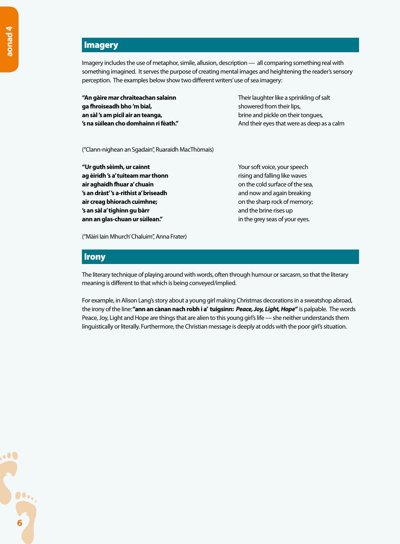# Imagery

Imagery includes the use of metaphor, simile, allusion, description — all comparing something real with something imagined. It serves the purpose of creating mental images and heightening the reader's sensory perception. The examples below show two different writers' use of sea imagery:

**"An gàire mar chraiteachan salainn** Their laughter like a sprinkling of salt **ga fhroiseadh bho 'm bial,** *showered from their lips***, an sàl 's am picil air an teanga, brine and pickle on their tongues, brine and pickle on their tongues**,

**'s na sùilean cho domhainn ri fèath." And their eyes that were as deep as a calm** 

("Clann-nighean an Sgadain", Ruaraidh MacThòmais)

**"Ur guth sèimh, ur cainnt** Your soft voice, your speech **ag èiridh 's a' tuiteam mar thonn rising and falling like waves air aghaidh fhuar a' chuain air aghaidh fhuar a' chuain on the cold surface of the sea, 's an dràst''s a-rithist a' briseadh and now and again breaking air creag bhiorach cuimhne; air creag bhiorach cuimhne; but a creage of the sharp rock of memory**; **'s an sàl a' tighinn gu bàrr <b>and the brine rises** up **ann an glas-chuan ur sùilean."** *in the grey seas of your eyes.* 

("Màiri Iain Mhurch' Chaluim", Anna Frater)

#### **Irony**

The literary technique of playing around with words, often through humour or sarcasm, so that the literary meaning is different to that which is being conveyed/implied.

For example, in Alison Lang's story about a young girl making Christmas decorations in a sweatshop abroad, the irony of the line: **"ann an cànan nach robh i a' tuigsinn:** *Peace, Joy, Light, Hope***"** is palpable. The words Peace, Joy, Light and Hope are things that are alien to this young girl's life — she neither understands them linguistically or literally. Furthermore, the Christian message is deeply at odds with the poor girl's situation.

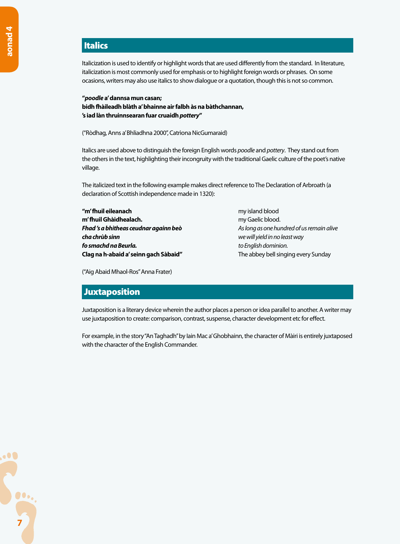# Italics

Italicization is used to identify or highlight words that are used differently from the standard. In literature, italicization is most commonly used for emphasis or to highlight foreign words or phrases. On some ocasions, writers may also use italics to show dialogue or a quotation, though this is not so common.

**"***poodle* **a' dannsa mun casan; bidh fhàileadh blàth a' bhainne air falbh às na bàthchannan, 's iad làn thruinnsearan fuar cruaidh** *pottery***"**

("Ròdhag, Anns a' Bhliadhna 2000", Catrìona NicGumaraid)

Italics are used above to distinguish the foreign English words *poodle* and *pottery*. They stand out from the others in the text, highlighting their incongruity with the traditional Gaelic culture of the poet's native village.

The italicized text in the following example makes direct reference to The Declaration of Arbroath (a declaration of Scottish independence made in 1320):

**"m' fhuil eileanach** my island blood **m' fhuil Ghàidhealach.** my Gaelic blood. *Fhad 's a bhitheas ceudnar againn beò As long as one hundred of us remain alive cha chrùb sinn we will yield in no least way fo smachd na Beurla. to English dominion.* **Clag na h-abaid a' seinn gach Sàbaid"** The abbey bell singing every Sunday

("Aig Abaid Mhaol-Ros" Anna Frater)

## **Juxtaposition**

Juxtaposition is a literary device wherein the author places a person or idea parallel to another. A writer may use juxtaposition to create: comparison, contrast, suspense, character development etc for effect.

For example, in the story "An Taghadh" by Iain Mac a' Ghobhainn, the character of Màiri is entirely juxtaposed with the character of the English Commander.

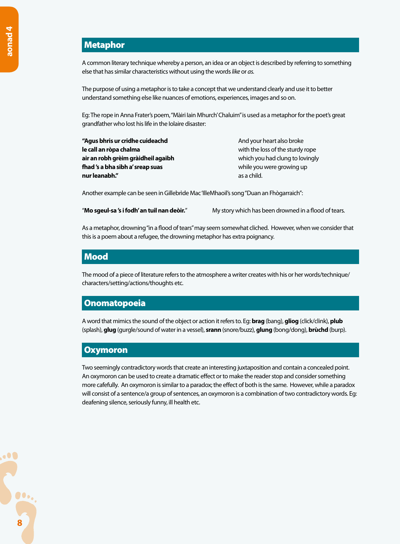# Metaphor

A common literary technique whereby a person, an idea or an object is described by referring to something else that has similar characteristics without using the words *like* or *as.*

The purpose of using a metaphor is to take a concept that we understand clearly and use it to better understand something else like nuances of emotions, experiences, images and so on.

Eg: The rope in Anna Frater's poem, "Màiri Iain Mhurch' Chaluim" is used as a metaphor for the poet's great grandfather who lost his life in the Iolaire disaster:

**"Agus bhris ur cridhe cuideachd** And your heart also broke **le call an ròpa chalma le call an ròpa chalma** with the loss of the sturdy rope **air an robh grèim gràidheil agaibh** which you had clung to lovingly **fhad 's a bha sibh a' sreap suas** while you were growing up **nur leanabh."** as a child.

Another example can be seen in Gillebrìde Mac 'IlleMhaoil's song "Duan an Fhògarraich":

"**Mo sgeul-sa 's i fodh' an tuil nan deòir.**" My story which has been drowned in a flood of tears.

As a metaphor, drowning "in a flood of tears" may seem somewhat cliched. However, when we consider that this is a poem about a refugee, the drowning metaphor has extra poignancy.

#### Mood

The mood of a piece of literature refers to the atmosphere a writer creates with his or her words/technique/ characters/setting/actions/thoughts etc.

#### **Onomatopoeia**

A word that mimics the sound of the object or action it refers to. Eg: **brag** (bang), **gliog** (click/clink), **plub** (splash), **glug** (gurgle/sound of water in a vessel), **srann** (snore/buzz), **glung** (bong/dong), **brùchd** (burp).

#### **Oxymoron**

Two seemingly contradictory words that create an interesting juxtaposition and contain a concealed point. An oxymoron can be used to create a dramatic effect or to make the reader stop and consider something more cafefully. An oxymoron is similar to a paradox; the effect of both is the same. However, while a paradox will consist of a sentence/a group of sentences, an oxymoron is a combination of two contradictory words. Eg: deafening silence, seriously funny, ill health etc.

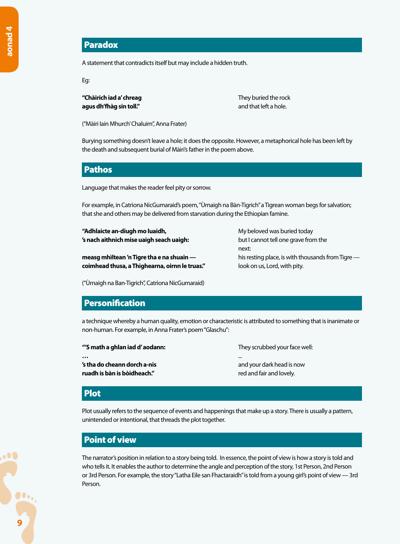## Paradox

A statement that contradicts itself but may include a hidden truth.

Eg:

**"Chàirich iad a' chreag They buried the rock of the rock of the rock of the rock agus dh'fhàg sin toll."** and that left a hole.

("Màiri Iain Mhurch' Chaluim", Anna Frater)

Burying something doesn't leave a hole; it does the opposite. However, a metaphorical hole has been left by the death and subsequent burial of Màiri's father in the poem above.

## Pathos

Language that makes the reader feel pity or sorrow.

For example, in Catrìona NicGumaraid's poem, "Ùrnaigh na Bàn-Tigrich" a Tigrean woman begs for salvation; that she and others may be delivered from starvation during the Ethiopian famine.

**"Adhlaicte an-diugh mo luaidh, The Company of the My beloved was buried today 's nach aithnich mise uaigh seach uaigh:** but I cannot tell one grave from the

**measg mhìltean 'n Tigre tha e na shuain —** his resting place, is with thousands from Tigre **coimhead thusa, a Thighearna, oirnn le truas."** look on us, Lord, with pity.

next:

("Ùrnaigh na Ban-Tigrich", Catrìona NicGumaraid)

## **Personification**

a technique whereby a human quality, emotion or characteristic is attributed to something that is inanimate or non-human. For example, in Anna Frater's poem "Glaschu":

| "'S math a ghlan iad d' aodann:                                         | They scrubbed your face well:                             |
|-------------------------------------------------------------------------|-----------------------------------------------------------|
| $\cdots$<br>'s tha do cheann dorch a-nis<br>ruadh is bàn is bòidheach." | <br>and your dark head is now<br>red and fair and lovely. |
|                                                                         |                                                           |

#### Plot

Plot usually refers to the sequence of events and happenings that make up a story. There is usually a pattern, unintended or intentional, that threads the plot together.

## Point of view

The narrator's position in relation to a story being told. In essence, the point of view is how a story is told and who tells it. It enables the author to determine the angle and perception of the story, 1st Person, 2nd Person or 3rd Person. For example, the story "Latha Eile san Fhactaraidh" is told from a young girl's point of view — 3rd Person.

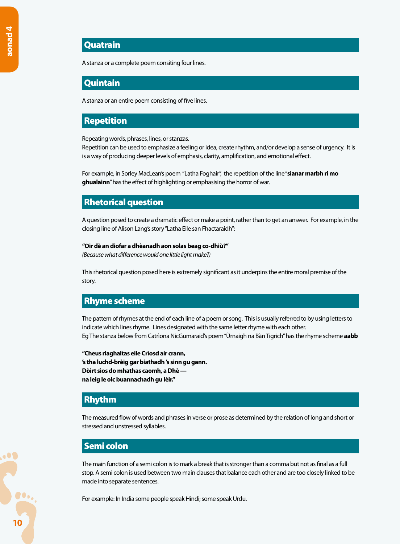## **Quatrain**

A stanza or a complete poem consiting four lines.

#### **Ouintain**

A stanza or an entire poem consisting of five lines.

## Repetition

Repeating words, phrases, lines, or stanzas.

Repetition can be used to emphasize a feeling or idea, create rhythm, and/or develop a sense of urgency. It is is a way of producing deeper levels of emphasis, clarity, amplification, and emotional effect.

For example, in Sorley MacLean's poem "Latha Foghair", the repetition of the line "**sianar marbh ri mo ghualainn**" has the effect of highlighting or emphasising the horror of war.

#### Rhetorical question

A question posed to create a dramatic effect or make a point, rather than to get an answer. For example, in the closing line of Alison Lang's story "Latha Eile san Fhactaraidh":

#### **"Oir dè an diofar a dhèanadh aon solas beag co-dhiù?"**

*(Because what difference would one little light make?)*

This rhetorical question posed here is extremely significant as it underpins the entire moral premise of the story.

## Rhyme scheme

The pattern of rhymes at the end of each line of a poem or song. This is usually referred to by using letters to indicate which lines rhyme. Lines designated with the same letter rhyme with each other. Eg The stanza below from Catrìona NicGumaraid's poem "Ùrnaigh na Bàn Tigrich" has the rhyme scheme **aabb**

**"Cheus riaghaltas eile Crìosd air crann, 's tha luchd-brèig gar biathadh 's sinn gu gann. Dòirt sìos do mhathas caomh, a Dhè na leig le olc buannachadh gu lèir."**

## Rhythm

The measured flow of words and phrases in verse or prose as determined by the relation of long and short or stressed and unstressed syllables.

#### Semi colon

The main function of a semi colon is to mark a break that is stronger than a comma but not as final as a full stop. A semi colon is used between two main clauses that balance each other and are too closely linked to be made into separate sentences.

For example: In India some people speak Hindi; some speak Urdu.

 $\bullet$ 00. **10**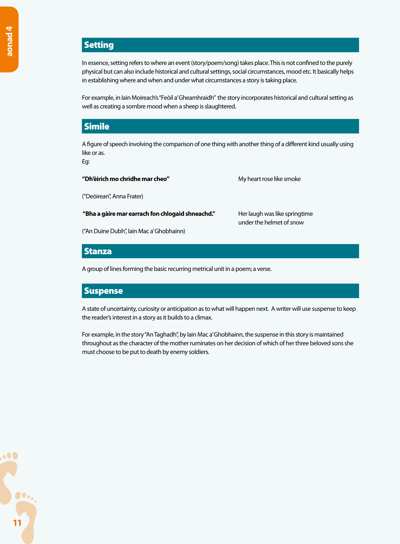# **Setting**

In essence, setting refers to where an event (story/poem/song) takes place. This is not confined to the purely physical but can also include historical and cultural settings, social circumstances, mood etc. It basically helps in establishing where and when and under what circumstances a story is taking place.

For example, in Iain Moireach's "Feòil a' Gheamhraidh" the story incorporates historical and cultural setting as well as creating a sombre mood when a sheep is slaughtered.

## Simile

A figure of speech involving the comparison of one thing with another thing of a different kind usually using like or as.

Eg:

#### "Dh'èirich mo chridhe mar cheo" My heart rose like smoke

("Deòirean", Anna Frater)

#### **"Bha a gàire mar earrach fon chlogaid shneachd."** Her laugh was like springtime

("An Duine Dubh", Iain Mac a' Ghobhainn)

under the helmet of snow

### **Stanza**

A group of lines forming the basic recurring metrical unit in a poem; a verse.

## **Suspense**

A state of uncertainty, curiosity or anticipation as to what will happen next. A writer will use suspense to keep the reader's interest in a story as it builds to a climax.

For example, in the story "An Taghadh", by Iain Mac a' Ghobhainn, the suspense in this story is maintained throughout as the character of the mother ruminates on her decision of which of her three beloved sons she must choose to be put to death by enemy soldiers.

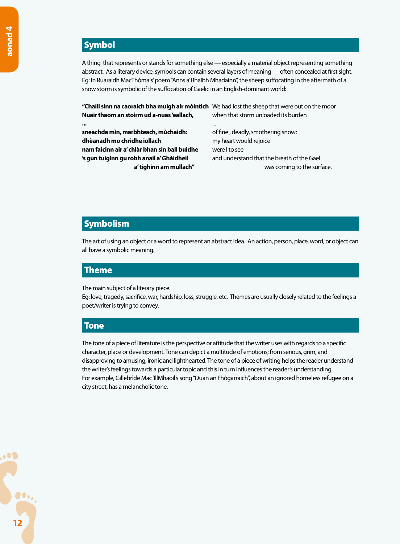# **Symbol**

A thing that represents or stands for something else — especially a material object representing something abstract. As a literary device, symbols can contain several layers of meaning — often concealed at first sight. Eg: In Ruaraidh MacThòmais' poem "Anns a' Bhalbh Mhadainn", the sheep suffocating in the aftermath of a snow storm is symbolic of the suffocation of Gaelic in an English-dominant world:

**"Chaill sinn na caoraich bha muigh air mòintich** We had lost the sheep that were out on the moor **Nuair thaom an stoirm ud a-nuas 'eallach,** when that storm unloaded its burden

**...** ... **sneachda mìn, marbhteach, mùchaidh:** of fine , deadly, smothering snow: **dhèanadh mo chridhe iollach** my heart would rejoice **nam faicinn air a' chlàr bhan sin ball buidhe** were I to see **'s gun tuiginn gu robh anail a' Ghàidheil** and understand that the breath of the Gael

**a' tighinn am mullach"** was coming to the surface.

## **Symbolism**

The art of using an object or a word to represent an abstract idea. An action, person, place, word, or object can all have a symbolic meaning.

#### Theme

The main subject of a literary piece.

Eg: love, tragedy, sacrifice, war, hardship, loss, struggle, etc. Themes are usually closely related to the feelings a poet/writer is trying to convey.

## Tone

The tone of a piece of literature is the perspective or attitude that the writer uses with regards to a specific character, place or development. Tone can depict a multitude of emotions; from serious, grim, and disapproving to amusing, ironic and lighthearted. The tone of a piece of writing helps the reader understand the writer's feelings towards a particular topic and this in turn influences the reader's understanding. For example, Gillebrìde Mac 'IllMhaoil's song "Duan an Fhògarraich", about an ignored homeless refugee on a city street, has a melancholic tone.

 $\bullet$ **12**